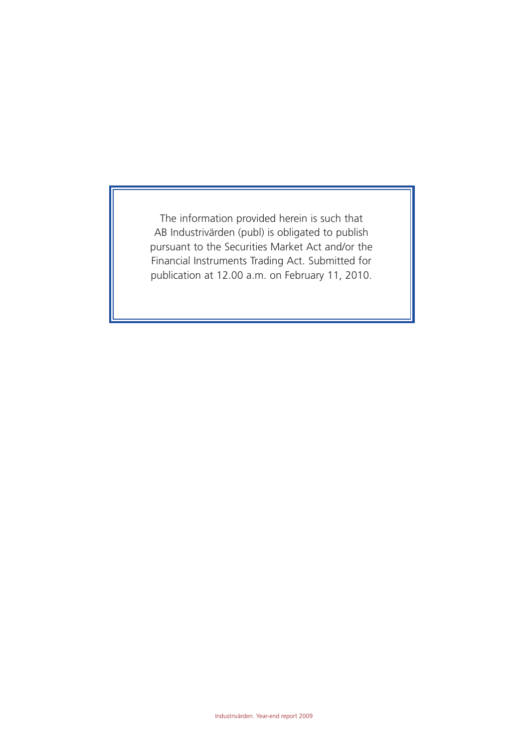The information provided herein is such that AB Industrivärden (publ) is obligated to publish pursuant to the Securities Market Act and/or the Financial Instruments Trading Act. Submitted for publication at 12.00 a.m. on February 11, 2010.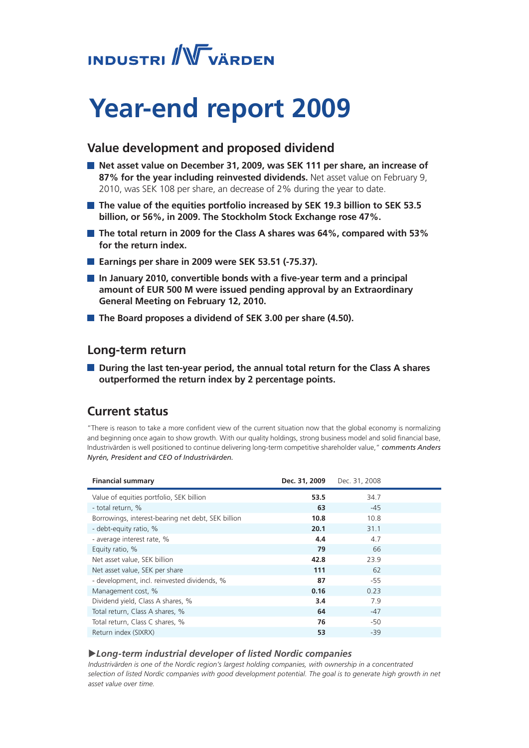# **INDUSTRI / WWW VÄRDEN**

# **Year-end report 2009**

## **Value development and proposed dividend**

- Net asset value on December 31, 2009, was SEK 111 per share, an increase of **87% for the year including reinvested dividends.** Net asset value on February 9, 2010, was SEK 108 per share, an decrease of 2% during the year to date.
- **The value of the equities portfolio increased by SEK 19.3 billion to SEK 53.5 billion, or 56%, in 2009. The Stockholm Stock Exchange rose 47%.**
- **The total return in 2009 for the Class A shares was 64%, compared with 53% for the return index.**
- Earnings per share in 2009 were SEK 53.51 (-75.37).
- In January 2010, convertible bonds with a five-year term and a principal **amount of EUR 500 M were issued pending approval by an Extraordinary General Meeting on February 12, 2010.**
- **The Board proposes a dividend of SEK 3.00 per share (4.50).**

## **Long-term return**

■ During the last ten-year period, the annual total return for the Class A shares **outperformed the return index by 2 percentage points.**

## **Current status**

"There is reason to take a more confident view of the current situation now that the global economy is normalizing and beginning once again to show growth. With our quality holdings, strong business model and solid financial base, Industrivärden is well positioned to continue delivering long-term competitive shareholder value," *comments Anders Nyrén, President and CEO of Industrivärden.* 

| <b>Financial summary</b>                           | Dec. 31, 2009 | Dec. 31, 2008 |  |
|----------------------------------------------------|---------------|---------------|--|
| Value of equities portfolio, SEK billion           | 53.5          | 34.7          |  |
| - total return, %                                  | 63            | $-45$         |  |
| Borrowings, interest-bearing net debt, SEK billion | 10.8          | 10.8          |  |
| - debt-equity ratio, %                             | 20.1          | 31.1          |  |
| - average interest rate, %                         | 4.4           | 4.7           |  |
| Equity ratio, %                                    | 79            | 66            |  |
| Net asset value, SEK billion                       | 42.8          | 23.9          |  |
| Net asset value, SEK per share                     | 111           | 62            |  |
| - development, incl. reinvested dividends, %       | 87            | $-55$         |  |
| Management cost, %                                 | 0.16          | 0.23          |  |
| Dividend yield, Class A shares, %                  | 3.4           | 7.9           |  |
| Total return, Class A shares, %                    | 64            | $-47$         |  |
| Total return, Class C shares, %                    | 76            | -50           |  |
| Return index (SIXRX)                               | 53            | $-39$         |  |

#### u*Long-term industrial developer of listed Nordic companies*

*Industrivärden is one of the Nordic region's largest holding companies, with ownership in a concentrated*  selection of listed Nordic companies with good development potential. The goal is to generate high growth in net *asset value over time.*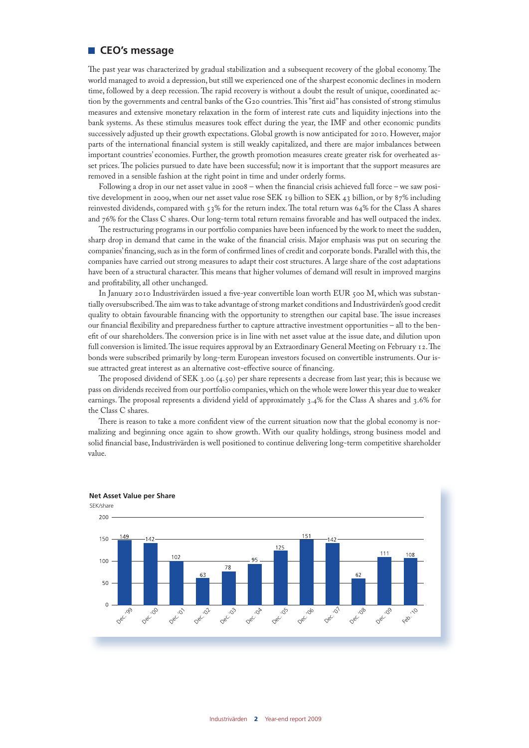#### **CEO's message**

The past year was characterized by gradual stabilization and a subsequent recovery of the global economy. The world managed to avoid a depression, but still we experienced one of the sharpest economic declines in modern time, followed by a deep recession. The rapid recovery is without a doubt the result of unique, coordinated action by the governments and central banks of the G20 countries. This "first aid" has consisted of strong stimulus measures and extensive monetary relaxation in the form of interest rate cuts and liquidity injections into the bank systems. As these stimulus measures took effect during the year, the IMF and other economic pundits successively adjusted up their growth expectations. Global growth is now anticipated for 2010. However, major parts of the international financial system is still weakly capitalized, and there are major imbalances between important countries' economies. Further, the growth promotion measures create greater risk for overheated asset prices. The policies pursued to date have been successful; now it is important that the support measures are removed in a sensible fashion at the right point in time and under orderly forms.

Following a drop in our net asset value in 2008 – when the financial crisis achieved full force – we saw positive development in 2009, when our net asset value rose SEK 19 billion to SEK 43 billion, or by 87% including reinvested dividends, compared with 53% for the return index. The total return was 64% for the Class A shares and 76% for the Class C shares. Our long-term total return remains favorable and has well outpaced the index.

The restructuring programs in our portfolio companies have been infuenced by the work to meet the sudden, sharp drop in demand that came in the wake of the financial crisis. Major emphasis was put on securing the companies' financing, such as in the form of confirmed lines of credit and corporate bonds. Parallel with this, the companies have carried out strong measures to adapt their cost structures. A large share of the cost adaptations have been of a structural character. This means that higher volumes of demand will result in improved margins and profitability, all other unchanged.

In January 2010 Industrivärden issued a five-year convertible loan worth EUR 500 M, which was substantially oversubscribed. The aim was to take advantage of strong market conditions and Industrivärden's good credit quality to obtain favourable financing with the opportunity to strengthen our capital base. The issue increases our financial flexibility and preparedness further to capture attractive investment opportunities – all to the benefit of our shareholders. The conversion price is in line with net asset value at the issue date, and dilution upon full conversion is limited. The issue requires approval by an Extraordinary General Meeting on February 12. The bonds were subscribed primarily by long-term European investors focused on convertible instruments. Our issue attracted great interest as an alternative cost-effective source of financing.

The proposed dividend of SEK 3.00 (4.50) per share represents a decrease from last year; this is because we pass on dividends received from our portfolio companies, which on the whole were lower this year due to weaker earnings. The proposal represents a dividend yield of approximately 3.4% for the Class A shares and 3.6% for the Class C shares.

There is reason to take a more confident view of the current situation now that the global economy is normalizing and beginning once again to show growth. With our quality holdings, strong business model and solid financial base, Industrivärden is well positioned to continue delivering long-term competitive shareholder value.



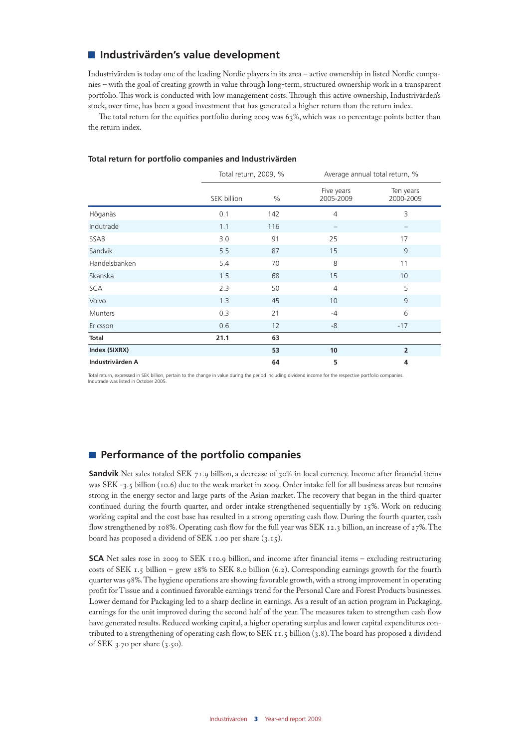## **Industrivärden's value development**

Industrivärden is today one of the leading Nordic players in its area – active ownership in listed Nordic companies – with the goal of creating growth in value through long-term, structured ownership work in a transparent portfolio. This work is conducted with low management costs. Through this active ownership, Industrivärden's stock, over time, has been a good investment that has generated a higher return than the return index.

The total return for the equities portfolio during 2009 was 63%, which was 10 percentage points better than the return index.

|                  | Total return, 2009, % |      | Average annual total return, % |                        |  |
|------------------|-----------------------|------|--------------------------------|------------------------|--|
|                  | SEK billion           | $\%$ | Five years<br>2005-2009        | Ten years<br>2000-2009 |  |
| Höganäs          | 0.1                   | 142  | $\overline{4}$                 | 3                      |  |
| Indutrade        | 1.1                   | 116  | $\overline{\phantom{0}}$       | —                      |  |
| SSAB             | 3.0                   | 91   | 25                             | 17                     |  |
| Sandvik          | 5.5                   | 87   | 15                             | 9                      |  |
| Handelsbanken    | 5.4                   | 70   | 8                              | 11                     |  |
| Skanska          | 1.5                   | 68   | 15                             | 10                     |  |
| <b>SCA</b>       | 2.3                   | 50   | $\overline{4}$                 | 5                      |  |
| Volvo            | 1.3                   | 45   | 10                             | 9                      |  |
| Munters          | 0.3                   | 21   | $-4$                           | 6                      |  |
| Ericsson         | 0.6                   | 12   | $-8$                           | $-17$                  |  |
| Total            | 21.1                  | 63   |                                |                        |  |
| Index (SIXRX)    |                       | 53   | 10                             | $\overline{2}$         |  |
| Industrivärden A |                       | 64   | 5                              | 4                      |  |

#### **Total return for portfolio companies and Industrivärden**

Total return, expressed in SEK billion, pertain to the change in value during the period including dividend income for the respective portfolio companies. Indutrade was listed in October 2005.

## **Performance of the portfolio companies**

**Sandvik** Net sales totaled SEK 71.9 billion, a decrease of 30% in local currency. Income after financial items was SEK -3.5 billion (10.6) due to the weak market in 2009. Order intake fell for all business areas but remains strong in the energy sector and large parts of the Asian market. The recovery that began in the third quarter continued during the fourth quarter, and order intake strengthened sequentially by 15%. Work on reducing working capital and the cost base has resulted in a strong operating cash flow. During the fourth quarter, cash flow strengthened by 108%. Operating cash flow for the full year was SEK 12.3 billion, an increase of 27%. The board has proposed a dividend of SEK 1.00 per share (3.15).

**SCA** Net sales rose in 2009 to SEK 110.9 billion, and income after financial items – excluding restructuring costs of SEK 1.5 billion – grew 28% to SEK 8.0 billion (6.2). Corresponding earnings growth for the fourth quarter was 98%. The hygiene operations are showing favorable growth, with a strong improvement in operating profit for Tissue and a continued favorable earnings trend for the Personal Care and Forest Products businesses. Lower demand for Packaging led to a sharp decline in earnings. As a result of an action program in Packaging, earnings for the unit improved during the second half of the year. The measures taken to strengthen cash flow have generated results. Reduced working capital, a higher operating surplus and lower capital expenditures contributed to a strengthening of operating cash flow, to SEK 11.5 billion (3.8). The board has proposed a dividend of SEK 3.70 per share (3.50).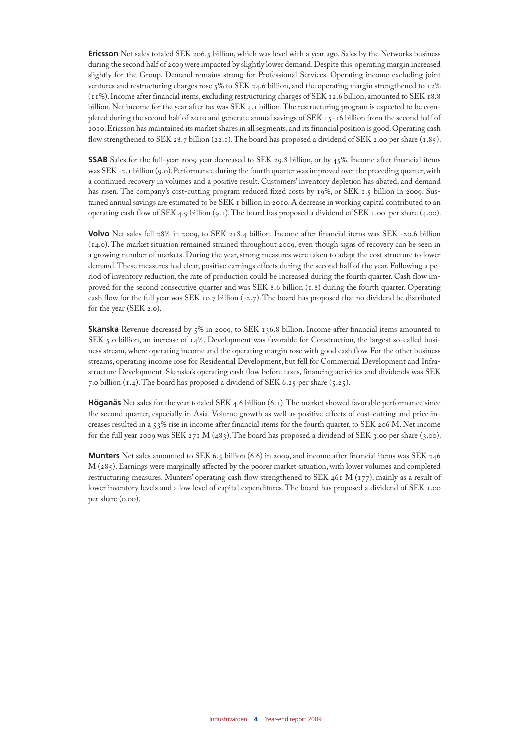**Ericsson** Net sales totaled SEK 206.5 billion, which was level with a year ago. Sales by the Networks business during the second half of 2009 were impacted by slightly lower demand. Despite this, operating margin increased slightly for the Group. Demand remains strong for Professional Services. Operating income excluding joint ventures and restructuring charges rose 5% to SEK 24.6 billion, and the operating margin strengthened to 12% (11%). Income after financial items, excluding restructuring charges of SEK 12.6 billion, amounted to SEK 18.8 billion. Net income for the year after tax was SEK 4.1 billion. The restructuring program is expected to be completed during the second half of 2010 and generate annual savings of SEK 15-16 billion from the second half of 2010. Ericsson has maintained its market shares in all segments, and its financial position is good. Operating cash flow strengthened to SEK 28.7 billion (22.1). The board has proposed a dividend of SEK 2.00 per share (1.85).

**SSAB** Sales for the full-year 2009 year decreased to SEK 29.8 billion, or by 45%. Income after financial items was SEK -2.1 billion (9.0). Performance during the fourth quarter was improved over the preceding quarter, with a continued recovery in volumes and a positive result. Customers' inventory depletion has abated, and demand has risen. The company's cost-cutting program reduced fixed costs by 19%, or SEK 1,5 billion in 2009. Sustained annual savings are estimated to be SEK 1 billion in 2010. A decrease in working capital contributed to an operating cash flow of SEK 4.9 billion (9.1). The board has proposed a dividend of SEK 1.00 per share (4.00).

**Volvo** Net sales fell 28% in 2009, to SEK 218.4 billion. Income after financial items was SEK -20.6 billion (14.0). The market situation remained strained throughout 2009, even though signs of recovery can be seen in a growing number of markets. During the year, strong measures were taken to adapt the cost structure to lower demand. These measures had clear, positive earnings effects during the second half of the year. Following a period of inventory reduction, the rate of production could be increased during the fourth quarter. Cash flow improved for the second consecutive quarter and was SEK 8.6 billion (1.8) during the fourth quarter. Operating cash flow for the full year was SEK 10.7 billion  $(-2.7)$ . The board has proposed that no dividend be distributed for the year (SEK 2.0).

**Skanska** Revenue decreased by 5% in 2009, to SEK 136.8 billion. Income after financial items amounted to SEK 5.0 billion, an increase of 14%. Development was favorable for Construction, the largest so-called business stream, where operating income and the operating margin rose with good cash flow. For the other business streams, operating income rose for Residential Development, but fell for Commercial Development and Infrastructure Development. Skanska's operating cash flow before taxes, financing activities and dividends was SEK 7.0 billion (1.4). The board has proposed a dividend of SEK 6.25 per share (5.25).

**Höganäs** Net sales for the year totaled SEK 4.6 billion (6.1). The market showed favorable performance since the second quarter, especially in Asia. Volume growth as well as positive effects of cost-cutting and price increases resulted in a 53% rise in income after financial items for the fourth quarter, to SEK 206 M. Net income for the full year 2009 was SEK 271 M  $(483)$ . The board has proposed a dividend of SEK 3.00 per share (3.00).

**Munters** Net sales amounted to SEK 6.5 billion (6.6) in 2009, and income after financial items was SEK 246 M (285). Earnings were marginally affected by the poorer market situation, with lower volumes and completed restructuring measures. Munters' operating cash flow strengthened to SEK 461 M (177), mainly as a result of lower inventory levels and a low level of capital expenditures. The board has proposed a dividend of SEK 1.00 per share (0.00).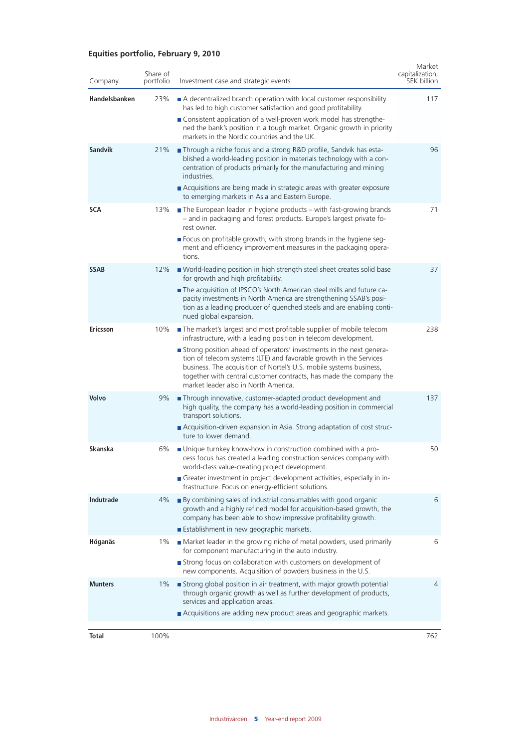## **Equities portfolio, February 9, 2010**

| Company        | Share of<br>portfolio | Investment case and strategic events                                                                                                                                                                                                                                                                                           | Market<br>capitalization,<br>SEK billion |
|----------------|-----------------------|--------------------------------------------------------------------------------------------------------------------------------------------------------------------------------------------------------------------------------------------------------------------------------------------------------------------------------|------------------------------------------|
| Handelsbanken  | 23%                   | A decentralized branch operation with local customer responsibility<br>has led to high customer satisfaction and good profitability.<br>■ Consistent application of a well-proven work model has strengthe-<br>ned the bank's position in a tough market. Organic growth in priority                                           | 117                                      |
|                |                       | markets in the Nordic countries and the UK.                                                                                                                                                                                                                                                                                    |                                          |
| <b>Sandvik</b> | 21%                   | Through a niche focus and a strong R&D profile, Sandvik has esta-<br>blished a world-leading position in materials technology with a con-<br>centration of products primarily for the manufacturing and mining<br>industries.<br>Acquisitions are being made in strategic areas with greater exposure                          | 96                                       |
|                |                       | to emerging markets in Asia and Eastern Europe.                                                                                                                                                                                                                                                                                |                                          |
| <b>SCA</b>     | 13%                   | $\blacksquare$ The European leader in hygiene products – with fast-growing brands<br>- and in packaging and forest products. Europe's largest private fo-<br>rest owner.                                                                                                                                                       | 71                                       |
|                |                       | ■ Focus on profitable growth, with strong brands in the hygiene seg-<br>ment and efficiency improvement measures in the packaging opera-<br>tions.                                                                                                                                                                             |                                          |
| <b>SSAB</b>    | 12%                   | ■ World-leading position in high strength steel sheet creates solid base<br>for growth and high profitability.                                                                                                                                                                                                                 | 37                                       |
|                |                       | The acquisition of IPSCO's North American steel mills and future ca-<br>pacity investments in North America are strengthening SSAB's posi-<br>tion as a leading producer of quenched steels and are enabling conti-<br>nued global expansion.                                                                                  |                                          |
| Ericsson       | 10%                   | The market's largest and most profitable supplier of mobile telecom<br>infrastructure, with a leading position in telecom development.                                                                                                                                                                                         | 238                                      |
|                |                       | Strong position ahead of operators' investments in the next genera-<br>tion of telecom systems (LTE) and favorable growth in the Services<br>business. The acquisition of Nortel's U.S. mobile systems business,<br>together with central customer contracts, has made the company the<br>market leader also in North America. |                                          |
| Volvo          | 9%                    | Through innovative, customer-adapted product development and<br>high quality, the company has a world-leading position in commercial<br>transport solutions.                                                                                                                                                                   | 137                                      |
|                |                       | Acquisition-driven expansion in Asia. Strong adaptation of cost struc-<br>ture to lower demand.                                                                                                                                                                                                                                |                                          |
| Skanska        | 6%                    | ■ Unique turnkey know-how in construction combined with a pro-<br>cess focus has created a leading construction services company with<br>world-class value-creating project development.                                                                                                                                       | 50                                       |
|                |                       | Greater investment in project development activities, especially in in-<br>frastructure. Focus on energy-efficient solutions.                                                                                                                                                                                                  |                                          |
| Indutrade      | 4%                    | ■ By combining sales of industrial consumables with good organic<br>growth and a highly refined model for acquisition-based growth, the<br>company has been able to show impressive profitability growth.                                                                                                                      | 6                                        |
|                |                       | Establishment in new geographic markets.                                                                                                                                                                                                                                                                                       |                                          |
| Höganäs        | $1\%$                 | Market leader in the growing niche of metal powders, used primarily<br>for component manufacturing in the auto industry.<br>Strong focus on collaboration with customers on development of                                                                                                                                     | 6                                        |
|                |                       | new components. Acquisition of powders business in the U.S.                                                                                                                                                                                                                                                                    |                                          |
| <b>Munters</b> | $1\%$                 | Strong global position in air treatment, with major growth potential<br>through organic growth as well as further development of products,<br>services and application areas.                                                                                                                                                  | $\overline{4}$                           |
|                |                       | Acquisitions are adding new product areas and geographic markets.                                                                                                                                                                                                                                                              |                                          |
| Total          | 100%                  |                                                                                                                                                                                                                                                                                                                                | 762                                      |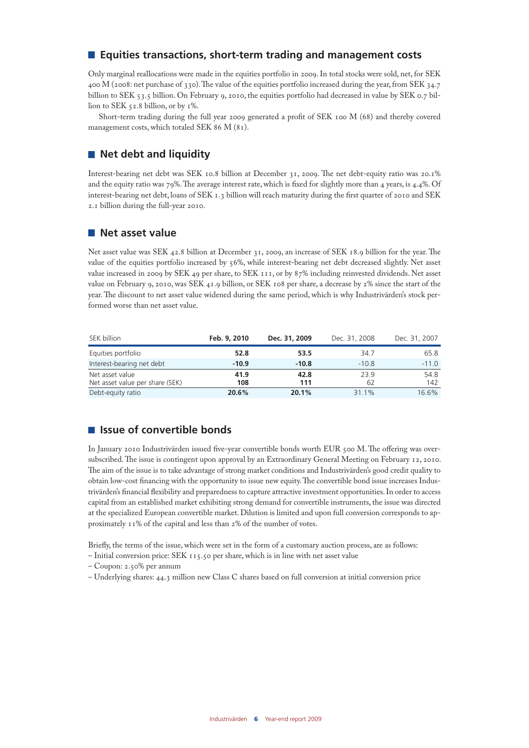## **Equities transactions, short-term trading and management costs**

Only marginal reallocations were made in the equities portfolio in 2009. In total stocks were sold, net, for SEK 400 M (2008: net purchase of 330). The value of the equities portfolio increased during the year, from SEK 34.7 billion to SEK 53.5 billion. On February 9, 2010, the equities portfolio had decreased in value by SEK 0.7 billion to SEK 52.8 billion, or by 1%.

Short-term trading during the full year 2009 generated a profit of SEK 100 M (68) and thereby covered management costs, which totaled SEK 86 M (81).

## **Net debt and liquidity**

Interest-bearing net debt was SEK 10.8 billion at December 31, 2009. The net debt-equity ratio was 20.1% and the equity ratio was 79%. The average interest rate, which is fixed for slightly more than 4 years, is 4.4%. Of interest-bearing net debt, loans of SEK 1.3 billion will reach maturity during the first quarter of 2010 and SEK 2.1 billion during the full-year 2010.

### **Net asset value**

Net asset value was SEK 42.8 billion at December 31, 2009, an increase of SEK 18.9 billion for the year. The value of the equities portfolio increased by 56%, while interest-bearing net debt decreased slightly. Net asset value increased in 2009 by SEK 49 per share, to SEK 111, or by 87% including reinvested dividends. Net asset value on February 9, 2010, was SEK 41.9 billion, or SEK 108 per share, a decrease by 2% since the start of the year. The discount to net asset value widened during the same period, which is why Industrivärden's stock performed worse than net asset value.

| SEK billion                                        | Feb. 9, 2010 | Dec. 31, 2009 | Dec. 31, 2008 | Dec. 31, 2007 |
|----------------------------------------------------|--------------|---------------|---------------|---------------|
| Equities portfolio                                 | 52.8         | 53.5          | 34.7          | 65.8          |
| Interest-bearing net debt                          | $-10.9$      | $-10.8$       | $-10.8$       | $-11.0$       |
| Net asset value<br>Net asset value per share (SEK) | 41.9<br>108  | 42.8<br>111   | 23.9<br>62    | 54.8<br>142   |
| Debt-equity ratio                                  | 20.6%        | 20.1%         | 31.1%         | 16.6%         |

## **Issue of convertible bonds**

In January 2010 Industrivärden issued five-year convertible bonds worth EUR 500 M. The offering was oversubscribed. The issue is contingent upon approval by an Extraordinary General Meeting on February 12, 2010. The aim of the issue is to take advantage of strong market conditions and Industrivärden's good credit quality to obtain low-cost financing with the opportunity to issue new equity. The convertible bond issue increases Industrivärden's financial flexibility and preparedness to capture attractive investment opportunities. In order to access capital from an established market exhibiting strong demand for convertible instruments, the issue was directed at the specialized European convertible market. Dilution is limited and upon full conversion corresponds to approximately 11% of the capital and less than 2% of the number of votes.

Briefly, the terms of the issue, which were set in the form of a customary auction process, are as follows:

– Initial conversion price: SEK 115.50 per share, which is in line with net asset value

- Coupon: 2.50% per annum
- Underlying shares: 44.3 million new Class C shares based on full conversion at initial conversion price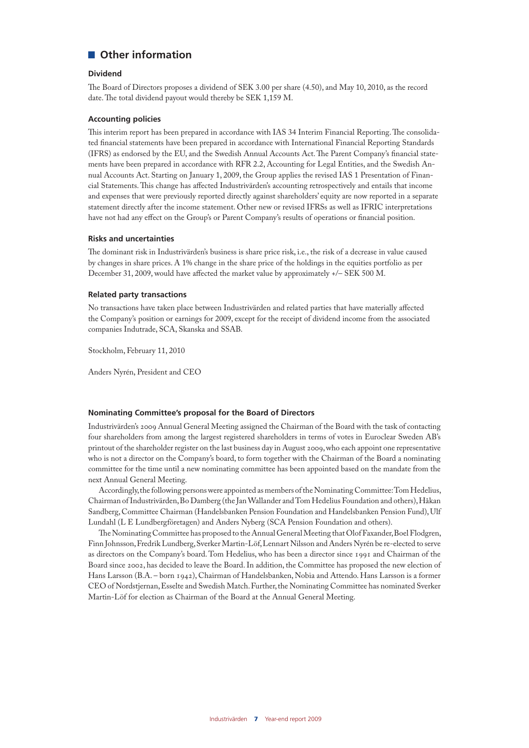## ■ Other information

#### **Dividend**

The Board of Directors proposes a dividend of SEK 3.00 per share (4.50), and May 10, 2010, as the record date. The total dividend payout would thereby be SEK 1,159 M.

#### **Accounting policies**

This interim report has been prepared in accordance with IAS 34 Interim Financial Reporting. The consolidated financial statements have been prepared in accordance with International Financial Reporting Standards (IFRS) as endorsed by the EU, and the Swedish Annual Accounts Act. The Parent Company's financial statements have been prepared in accordance with RFR 2.2, Accounting for Legal Entities, and the Swedish Annual Accounts Act. Starting on January 1, 2009, the Group applies the revised IAS 1 Presentation of Financial Statements. This change has affected Industrivärden's accounting retrospectively and entails that income and expenses that were previously reported directly against shareholders' equity are now reported in a separate statement directly after the income statement. Other new or revised IFRSs as well as IFRIC interpretations have not had any effect on the Group's or Parent Company's results of operations or financial position.

#### **Risks and uncertainties**

The dominant risk in Industrivärden's business is share price risk, i.e., the risk of a decrease in value caused by changes in share prices. A 1% change in the share price of the holdings in the equities portfolio as per December 31, 2009, would have affected the market value by approximately +/– SEK 500 M.

#### **Related party transactions**

No transactions have taken place between Industrivärden and related parties that have materially affected the Company's position or earnings for 2009, except for the receipt of dividend income from the associated companies Indutrade, SCA, Skanska and SSAB.

Stockholm, February 11, 2010

Anders Nyrén, President and CEO

#### **Nominating Committee's proposal for the Board of Directors**

Industrivärden's 2009 Annual General Meeting assigned the Chairman of the Board with the task of contacting four shareholders from among the largest registered shareholders in terms of votes in Euroclear Sweden AB's printout of the shareholder register on the last business day in August 2009, who each appoint one representative who is not a director on the Company's board, to form together with the Chairman of the Board a nominating committee for the time until a new nominating committee has been appointed based on the mandate from the next Annual General Meeting.

Accordingly, the following persons were appointed as members of the Nominating Committee: Tom Hedelius, Chairman of Industrivärden, Bo Damberg (the Jan Wallander and Tom Hedelius Foundation and others), Håkan Sandberg, Committee Chairman (Handelsbanken Pension Foundation and Handelsbanken Pension Fund), Ulf Lundahl (L E Lundbergföretagen) and Anders Nyberg (SCA Pension Foundation and others).

The Nominating Committee has proposed to the Annual General Meeting that Olof Faxander, Boel Flodgren, Finn Johnsson, Fredrik Lundberg, Sverker Martin-Löf, Lennart Nilsson and Anders Nyrén be re-elected to serve as directors on the Company's board. Tom Hedelius, who has been a director since 1991 and Chairman of the Board since 2002, has decided to leave the Board. In addition, the Committee has proposed the new election of Hans Larsson (B.A. – born 1942), Chairman of Handelsbanken, Nobia and Attendo. Hans Larsson is a former CEO of Nordstjernan, Esselte and Swedish Match. Further, the Nominating Committee has nominated Sverker Martin-Löf for election as Chairman of the Board at the Annual General Meeting.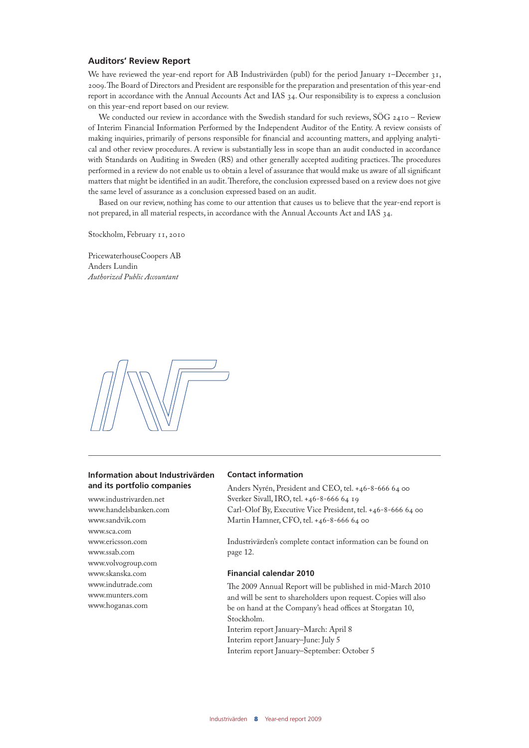#### **Auditors' Review Report**

We have reviewed the year-end report for AB Industrivärden (publ) for the period January 1–December 31, 2009. The Board of Directors and President are responsible for the preparation and presentation of this year-end report in accordance with the Annual Accounts Act and IAS 34. Our responsibility is to express a conclusion on this year-end report based on our review.

We conducted our review in accordance with the Swedish standard for such reviews, SÖG 2410 - Review of Interim Financial Information Performed by the Independent Auditor of the Entity. A review consists of making inquiries, primarily of persons responsible for financial and accounting matters, and applying analytical and other review procedures. A review is substantially less in scope than an audit conducted in accordance with Standards on Auditing in Sweden (RS) and other generally accepted auditing practices. The procedures performed in a review do not enable us to obtain a level of assurance that would make us aware of all significant matters that might be identified in an audit. Therefore, the conclusion expressed based on a review does not give the same level of assurance as a conclusion expressed based on an audit.

Based on our review, nothing has come to our attention that causes us to believe that the year-end report is not prepared, in all material respects, in accordance with the Annual Accounts Act and IAS 34.

Stockholm, February 11, 2010

PricewaterhouseCoopers AB Anders Lundin *Authorized Public Accountant*



#### **Information about Industrivärden and its portfolio companies**

www.industrivarden.net www.handelsbanken.com www.sandvik.com www.sca.com www.ericsson.com www.ssab.com www.volvogroup.com www.skanska.com www.indutrade.com www.munters.com www.hoganas.com

#### **Contact information**

Anders Nyrén, President and CEO, tel. +46-8-666 64 00 Sverker Sivall, IRO, tel. +46-8-666 64 19 Carl-Olof By, Executive Vice President, tel. +46-8-666 64 00 Martin Hamner, CFO, tel. +46-8-666 64 00

Industrivärden's complete contact information can be found on page 12.

#### **Financial calendar 2010**

The 2009 Annual Report will be published in mid-March 2010 and will be sent to shareholders upon request. Copies will also be on hand at the Company's head offices at Storgatan 10, Stockholm. Interim report January–March: April 8 Interim report January–June: July 5 Interim report January–September: October 5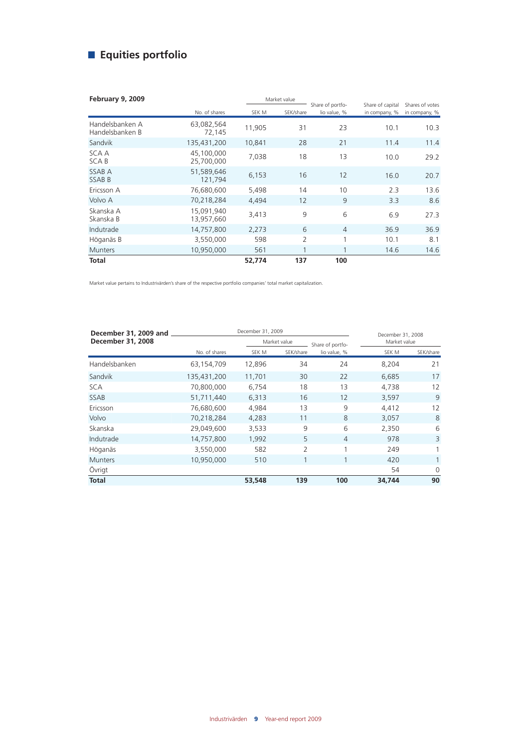# **Equities portfolio**

| <b>February 9, 2009</b>            |                          |        | Market value   |                                  |                                   |                                  |
|------------------------------------|--------------------------|--------|----------------|----------------------------------|-----------------------------------|----------------------------------|
|                                    | No. of shares            | SEK M  | SEK/share      | Share of portfo-<br>lio value, % | Share of capital<br>in company, % | Shares of votes<br>in company, % |
| Handelsbanken A<br>Handelsbanken B | 63,082,564<br>72,145     | 11,905 | 31             | 23                               | 10.1                              | 10.3                             |
| Sandvik                            | 135,431,200              | 10,841 | 28             | 21                               | 11.4                              | 11.4                             |
| SCA A<br>SCA B                     | 45,100,000<br>25,700,000 | 7,038  | 18             | 13                               | 10.0                              | 29.2                             |
| SSAB A<br><b>SSABB</b>             | 51,589,646<br>121,794    | 6,153  | 16             | 12                               | 16.0                              | 20.7                             |
| Ericsson A                         | 76,680,600               | 5,498  | 14             | 10                               | 2.3                               | 13.6                             |
| Volvo A                            | 70,218,284               | 4,494  | 12             | 9                                | 3.3                               | 8.6                              |
| Skanska A<br>Skanska B             | 15.091.940<br>13,957,660 | 3,413  | 9              | 6                                | 6.9                               | 27.3                             |
| Indutrade                          | 14,757,800               | 2,273  | 6              | $\overline{4}$                   | 36.9                              | 36.9                             |
| Höganäs B                          | 3,550,000                | 598    | $\overline{2}$ | 1                                | 10.1                              | 8.1                              |
| <b>Munters</b>                     | 10,950,000               | 561    | $\mathbf{1}$   | $\mathbf{1}$                     | 14.6                              | 14.6                             |
| <b>Total</b>                       |                          | 52,774 | 137            | 100                              |                                   |                                  |

Market value pertains to Industrivärden's share of the respective portfolio companies' total market capitalization.

| December 31, 2009 and |               | December 31, 2009 |           | December 31, 2008 |        |              |  |
|-----------------------|---------------|-------------------|-----------|-------------------|--------|--------------|--|
| December 31, 2008     |               | Market value      |           | Share of portfo-  |        | Market value |  |
|                       | No. of shares | SEK M             | SEK/share | lio value, %      | SEK M  | SEK/share    |  |
| Handelsbanken         | 63,154,709    | 12,896            | 34        | 24                | 8,204  | 21           |  |
| Sandvik               | 135,431,200   | 11,701            | 30        | 22                | 6,685  | 17           |  |
| <b>SCA</b>            | 70,800,000    | 6,754             | 18        | 13                | 4,738  | 12           |  |
| <b>SSAB</b>           | 51,711,440    | 6,313             | 16        | 12                | 3,597  | 9            |  |
| Ericsson              | 76,680,600    | 4,984             | 13        | 9                 | 4,412  | 12           |  |
| Volvo                 | 70,218,284    | 4,283             | 11        | 8                 | 3,057  | 8            |  |
| Skanska               | 29,049,600    | 3,533             | 9         | 6                 | 2,350  | 6            |  |
| Indutrade             | 14,757,800    | 1,992             | 5         | $\overline{4}$    | 978    | 3            |  |
| Höganäs               | 3,550,000     | 582               | 2         | 1                 | 249    |              |  |
| <b>Munters</b>        | 10,950,000    | 510               |           | 1                 | 420    | 1            |  |
| Övrigt                |               |                   |           |                   | 54     | $\Omega$     |  |
| <b>Total</b>          |               | 53,548            | 139       | 100               | 34,744 | 90           |  |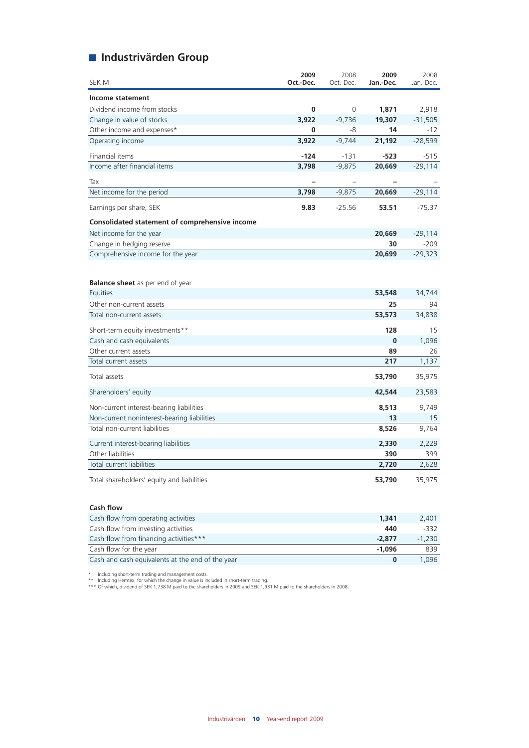## **Industrivärden Group**

| SEK M                                          | 2009<br>Oct.-Dec. | 2008<br>Oct.-Dec.        | 2009<br>Jan.-Dec.        | 2008<br>Jan.-Dec. |
|------------------------------------------------|-------------------|--------------------------|--------------------------|-------------------|
| Income statement                               |                   |                          |                          |                   |
| Dividend income from stocks                    | $\bf{0}$          | 0                        | 1,871                    | 2,918             |
| Change in value of stocks                      | 3.922             | $-9,736$                 | 19,307                   | $-31,505$         |
| Other income and expenses*                     | 0                 | -8                       | 14                       | $-12$             |
| Operating income                               | 3,922             | $-9,744$                 | 21,192                   | $-28,599$         |
| Financial items                                | -124              | $-131$                   | -523                     | $-515$            |
| Income after financial items                   | 3,798             | $-9,875$                 | 20,669                   | $-29,114$         |
| Tax                                            |                   | $\overline{\phantom{0}}$ | $\overline{\phantom{0}}$ |                   |
| Net income for the period                      | 3,798             | $-9,875$                 | 20,669                   | $-29,114$         |
| Earnings per share, SEK                        | 9.83              | $-25.56$                 | 53.51                    | $-75.37$          |
| Consolidated statement of comprehensive income |                   |                          |                          |                   |
| Net income for the year                        |                   |                          | 20,669                   | -29,114           |
| Change in hedging reserve                      |                   |                          | 30                       | $-209$            |
| Comprehensive income for the year              |                   |                          | 20,699                   | $-29,323$         |
| <b>Balance sheet</b> as per end of year        |                   |                          |                          |                   |
| Equities                                       |                   |                          | 53,548                   | 34,744            |
| Other non-current assets                       |                   |                          | 25                       | 94                |
| Total non-current assets                       |                   |                          | 53,573                   | 34,838            |
| Short-term equity investments**                |                   |                          | 128                      | 15                |
| Cash and cash equivalents                      |                   |                          | $\bf{0}$                 | 1,096             |
| Other current assets                           |                   |                          | 89                       | 26                |
| Total current assets                           |                   |                          | 217                      | 1,137             |
| Total assets                                   |                   |                          | 53,790                   | 35,975            |
| Shareholders' equity                           |                   |                          | 42,544                   | 23,583            |
| Non-current interest-bearing liabilities       |                   |                          | 8,513                    | 9,749             |
| Non-current noninterest-bearing liabilities    |                   |                          | 13                       | 15                |
| Total non-current liabilities                  |                   |                          | 8,526                    | 9,764             |
| Current interest-bearing liabilities           |                   |                          | 2,330                    | 2,229             |
| Other liabilities                              |                   |                          | 390                      | 399               |
| Total current liabilities                      |                   |                          | 2,720                    | 2,628             |
| Total shareholders' equity and liabilities     |                   |                          | 53,790                   | 35,975            |

#### **Cash flow**

| Cash flow from operating activities              | 1,341    | 2.401    |
|--------------------------------------------------|----------|----------|
| Cash flow from investing activities              | 440      | -332     |
| Cash flow from financing activities***           | $-2.877$ | $-1.230$ |
| Cash flow for the year                           | $-1.096$ | 839      |
| Cash and cash equivalents at the end of the year |          | 1.096    |

\* Including short-term trading and management costs.<br>\*\* Including Hemtex, for which the change in value is included in short-term trading.<br>\*\*\* Of which, dividend of SEK 1,738 M paid to the shareholders in 2009 and SE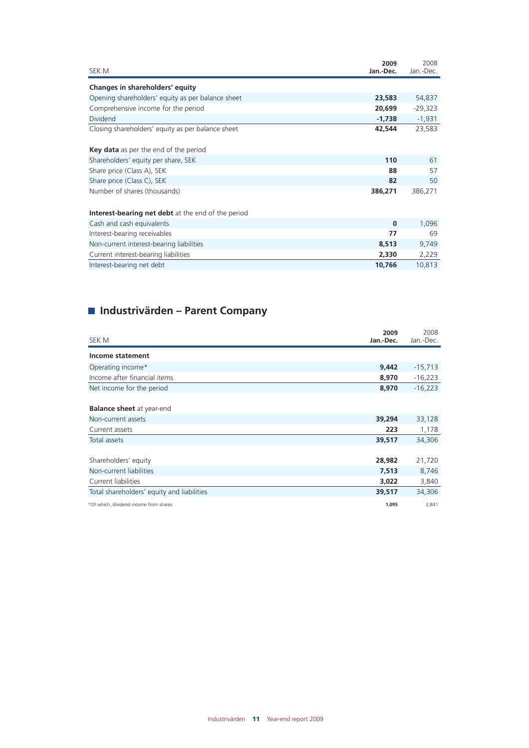| 2009<br>SEK M<br>Jan.-Dec.                                  | 2008<br>Jan.-Dec. |
|-------------------------------------------------------------|-------------------|
|                                                             |                   |
| Changes in shareholders' equity                             |                   |
| Opening shareholders' equity as per balance sheet<br>23,583 | 54,837            |
| Comprehensive income for the period<br>20,699               | $-29,323$         |
| Dividend<br>$-1,738$                                        | $-1,931$          |
| Closing shareholders' equity as per balance sheet<br>42,544 | 23,583            |
| Key data as per the end of the period                       |                   |
| Shareholders' equity per share, SEK<br>110                  | 61                |
| Share price (Class A), SEK<br>88                            | 57                |
| Share price (Class C), SEK<br>82                            | 50                |
| Number of shares (thousands)<br>386,271                     | 386,271           |
|                                                             |                   |
| <b>Interest-bearing net debt</b> at the end of the period   |                   |
| Cash and cash equivalents<br>$\bf{0}$                       | 1,096             |
| Interest-bearing receivables<br>77                          | 69                |
| Non-current interest-bearing liabilities<br>8,513           | 9,749             |
| Current interest-bearing liabilities<br>2,330               | 2,229             |
| Interest-bearing net debt<br>10,766                         | 10,813            |

# **Industrivärden – Parent Company**

| SEK M                                      | 2009<br>Jan.-Dec. | 2008<br>Jan.-Dec. |
|--------------------------------------------|-------------------|-------------------|
| Income statement                           |                   |                   |
| Operating income*                          | 9,442             | $-15,713$         |
| Income after financial items               | 8,970             | $-16,223$         |
| Net income for the period                  | 8,970             | $-16,223$         |
| <b>Balance sheet</b> at year-end           |                   |                   |
| Non-current assets                         | 39,294            | 33,128            |
| Current assets                             | 223               | 1,178             |
| Total assets                               | 39,517            | 34,306            |
|                                            |                   |                   |
| Shareholders' equity                       | 28,982            | 21,720            |
| Non-current liabilities                    | 7,513             | 8,746             |
| Current liabilities                        | 3,022             | 3,840             |
| Total shareholders' equity and liabilities | 39,517            | 34,306            |
| *Of which, dividend income from shares     | 1,095             | 2,841             |